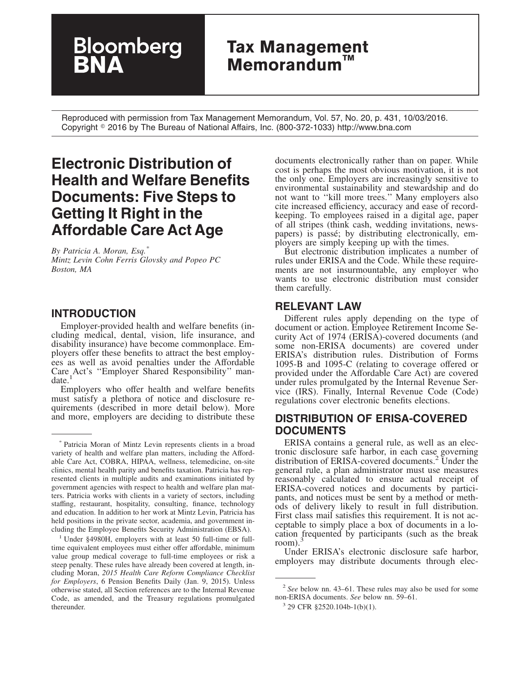# **Tax Management Memorandum™**

Reproduced with permission from Tax Management Memorandum, Vol. 57, No. 20, p. 431, 10/03/2016. Copyright - 2016 by The Bureau of National Affairs, Inc. (800-372-1033) http://www.bna.com

# **Electronic Distribution of Health and Welfare Benefits Documents: Five Steps to Getting It Right in the Affordable Care Act Age**

*By Patricia A. Moran, Esq.\* Mintz Levin Cohn Ferris Glovsky and Popeo PC Boston, MA*

**Bloomberg** 

#### **INTRODUCTION**

Employer-provided health and welfare benefits (including medical, dental, vision, life insurance, and disability insurance) have become commonplace. Employers offer these benefits to attract the best employees as well as avoid penalties under the Affordable Care Act's "Employer Shared Responsibility" mandate.<sup>1</sup>

Employers who offer health and welfare benefits must satisfy a plethora of notice and disclosure requirements (described in more detail below). More and more, employers are deciding to distribute these

documents electronically rather than on paper. While cost is perhaps the most obvious motivation, it is not the only one. Employers are increasingly sensitive to environmental sustainability and stewardship and do not want to ''kill more trees.'' Many employers also cite increased efficiency, accuracy and ease of recordkeeping. To employees raised in a digital age, paper of all stripes (think cash, wedding invitations, newspapers) is passé; by distributing electronically, employers are simply keeping up with the times.

But electronic distribution implicates a number of rules under ERISA and the Code. While these requirements are not insurmountable, any employer who wants to use electronic distribution must consider them carefully.

#### **RELEVANT LAW**

Different rules apply depending on the type of document or action. Employee Retirement Income Security Act of 1974 (ERISA)-covered documents (and some non-ERISA documents) are covered under ERISA's distribution rules. Distribution of Forms 1095-B and 1095-C (relating to coverage offered or provided under the Affordable Care Act) are covered under rules promulgated by the Internal Revenue Service (IRS). Finally, Internal Revenue Code (Code) regulations cover electronic benefits elections.

### **DISTRIBUTION OF ERISA-COVERED DOCUMENTS**

ERISA contains a general rule, as well as an electronic disclosure safe harbor, in each case governing distribution of ERISA-covered documents.<sup>2</sup> Under the general rule, a plan administrator must use measures reasonably calculated to ensure actual receipt of ERISA-covered notices and documents by participants, and notices must be sent by a method or methods of delivery likely to result in full distribution. First class mail satisfies this requirement. It is not acceptable to simply place a box of documents in a location frequented by participants (such as the break  $room).$ 

Under ERISA's electronic disclosure safe harbor, employers may distribute documents through elec-

<sup>\*</sup> Patricia Moran of Mintz Levin represents clients in a broad variety of health and welfare plan matters, including the Affordable Care Act, COBRA, HIPAA, wellness, telemedicine, on-site clinics, mental health parity and benefits taxation. Patricia has represented clients in multiple audits and examinations initiated by government agencies with respect to health and welfare plan matters. Patricia works with clients in a variety of sectors, including staffing, restaurant, hospitality, consulting, finance, technology and education. In addition to her work at Mintz Levin, Patricia has held positions in the private sector, academia, and government including the Employee Benefits Security Administration (EBSA).

<sup>1</sup> Under §4980H, employers with at least 50 full-time or fulltime equivalent employees must either offer affordable, minimum value group medical coverage to full-time employees or risk a steep penalty. These rules have already been covered at length, including Moran, *2015 Health Care Reform Compliance Checklist for Employers*, 6 Pension Benefits Daily (Jan. 9, 2015). Unless otherwise stated, all Section references are to the Internal Revenue Code, as amended, and the Treasury regulations promulgated thereunder.

<sup>2</sup> *See* below nn. 43–61. These rules may also be used for some non-ERISA documents. *See* below nn. 59–61.

<sup>3</sup> 29 CFR §2520.104b-1(b)(1).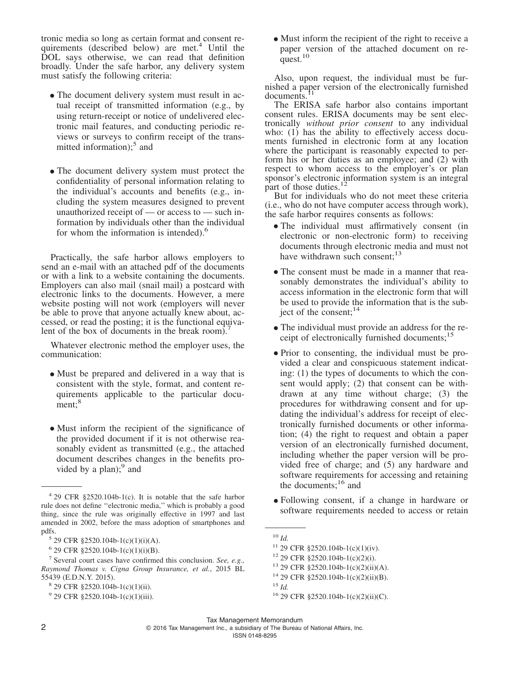tronic media so long as certain format and consent requirements (described below) are met.<sup>4</sup> Until the DOL says otherwise, we can read that definition broadly. Under the safe harbor, any delivery system must satisfy the following criteria:

- The document delivery system must result in actual receipt of transmitted information (e.g., by using return-receipt or notice of undelivered electronic mail features, and conducting periodic reviews or surveys to confirm receipt of the transmitted information); $<sup>5</sup>$  and</sup>
- The document delivery system must protect the confidentiality of personal information relating to the individual's accounts and benefits (e.g., including the system measures designed to prevent unauthorized receipt of — or access to — such information by individuals other than the individual for whom the information is intended).<sup>6</sup>

Practically, the safe harbor allows employers to send an e-mail with an attached pdf of the documents or with a link to a website containing the documents. Employers can also mail (snail mail) a postcard with electronic links to the documents. However, a mere website posting will not work (employers will never be able to prove that anyone actually knew about, accessed, or read the posting; it is the functional equivalent of the box of documents in the break room).

Whatever electronic method the employer uses, the communication:

- Must be prepared and delivered in a way that is consistent with the style, format, and content requirements applicable to the particular document:<sup>8</sup>
- Must inform the recipient of the significance of the provided document if it is not otherwise reasonably evident as transmitted (e.g., the attached document describes changes in the benefits provided by a plan); $9$  and

• Must inform the recipient of the right to receive a paper version of the attached document on request. $10$ 

Also, upon request, the individual must be furnished a paper version of the electronically furnished documents.

The ERISA safe harbor also contains important consent rules. ERISA documents may be sent electronically *without prior consent* to any individual who: (1) has the ability to effectively access documents furnished in electronic form at any location where the participant is reasonably expected to perform his or her duties as an employee; and (2) with respect to whom access to the employer's or plan sponsor's electronic information system is an integral part of those duties. $<sup>1</sup>$ </sup>

But for individuals who do not meet these criteria (i.e., who do not have computer access through work), the safe harbor requires consents as follows:

- The individual must affirmatively consent (in electronic or non-electronic form) to receiving documents through electronic media and must not have withdrawn such consent; $13$
- The consent must be made in a manner that reasonably demonstrates the individual's ability to access information in the electronic form that will be used to provide the information that is the subject of the consent:  $14$
- The individual must provide an address for the receipt of electronically furnished documents;<sup>15</sup>
- Prior to consenting, the individual must be provided a clear and conspicuous statement indicating: (1) the types of documents to which the consent would apply; (2) that consent can be withdrawn at any time without charge; (3) the procedures for withdrawing consent and for updating the individual's address for receipt of electronically furnished documents or other information; (4) the right to request and obtain a paper version of an electronically furnished document, including whether the paper version will be provided free of charge; and (5) any hardware and software requirements for accessing and retaining the documents;<sup>16</sup> and
- Following consent, if a change in hardware or software requirements needed to access or retain

2016 Tax Management Inc., a subsidiary of The Bureau of National Affairs, Inc.

ISSN 0148-8295

<sup>4</sup> 29 CFR §2520.104b-1(c). It is notable that the safe harbor rule does not define ''electronic media,'' which is probably a good thing, since the rule was originally effective in 1997 and last amended in 2002, before the mass adoption of smartphones and pdfs.

<sup>5</sup> 29 CFR §2520.104b-1(c)(1)(i)(A).

<sup>6</sup> 29 CFR §2520.104b-1(c)(1)(i)(B).

<sup>7</sup> Several court cases have confirmed this conclusion. *See, e.g., Raymond Thomas v. Cigna Group Insurance, et al.*, 2015 BL 55439 (E.D.N.Y. 2015).

<sup>8</sup> 29 CFR §2520.104b-1(c)(1)(ii).

<sup>9</sup> 29 CFR §2520.104b-1(c)(1)(iii).

<sup>10</sup> *Id.*

<sup>11</sup> 29 CFR §2520.104b-1(c)(1)(iv).

<sup>12</sup> 29 CFR §2520.104b-1(c)(2)(i).

<sup>13</sup> 29 CFR §2520.104b-1(c)(2)(ii)(A).

 $14$  29 CFR §2520.104b-1(c)(2)(ii)(B).

<sup>15</sup> *Id.*

<sup>16</sup> 29 CFR §2520.104b-1(c)(2)(ii)(C).

Tax Management Memorandum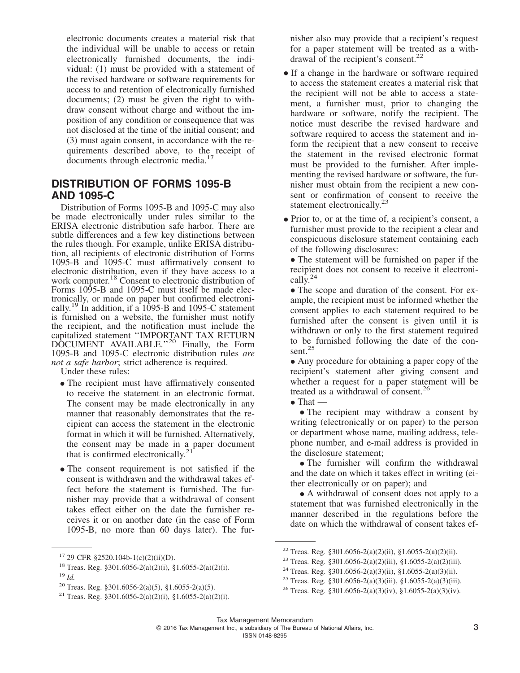electronic documents creates a material risk that the individual will be unable to access or retain electronically furnished documents, the individual: (1) must be provided with a statement of the revised hardware or software requirements for access to and retention of electronically furnished documents; (2) must be given the right to withdraw consent without charge and without the imposition of any condition or consequence that was not disclosed at the time of the initial consent; and (3) must again consent, in accordance with the requirements described above, to the receipt of documents through electronic media.<sup>17</sup>

### **DISTRIBUTION OF FORMS 1095-B AND 1095-C**

Distribution of Forms 1095-B and 1095-C may also be made electronically under rules similar to the ERISA electronic distribution safe harbor. There are subtle differences and a few key distinctions between the rules though. For example, unlike ERISA distribution, all recipients of electronic distribution of Forms 1095-B and 1095-C must affirmatively consent to electronic distribution, even if they have access to a work computer.<sup>18</sup> Consent to electronic distribution of Forms 1095-B and 1095-C must itself be made electronically, or made on paper but confirmed electronically.<sup>19</sup> In addition, if a  $1095 - B$  and 1095-C statement is furnished on a website, the furnisher must notify the recipient, and the notification must include the capitalized statement ''IMPORTANT TAX RETURN DOCUMENT AVAILABLE.''<sup>20</sup> Finally, the Form 1095-B and 1095-C electronic distribution rules *are not a safe harbor*; strict adherence is required.

Under these rules:

- The recipient must have affirmatively consented to receive the statement in an electronic format. The consent may be made electronically in any manner that reasonably demonstrates that the recipient can access the statement in the electronic format in which it will be furnished. Alternatively, the consent may be made in a paper document that is confirmed electronically.<sup>2</sup>
- The consent requirement is not satisfied if the consent is withdrawn and the withdrawal takes effect before the statement is furnished. The furnisher may provide that a withdrawal of consent takes effect either on the date the furnisher receives it or on another date (in the case of Form 1095-B, no more than 60 days later). The fur-

nisher also may provide that a recipient's request for a paper statement will be treated as a withdrawal of the recipient's consent.<sup>22</sup>

- If a change in the hardware or software required to access the statement creates a material risk that the recipient will not be able to access a statement, a furnisher must, prior to changing the hardware or software, notify the recipient. The notice must describe the revised hardware and software required to access the statement and inform the recipient that a new consent to receive the statement in the revised electronic format must be provided to the furnisher. After implementing the revised hardware or software, the furnisher must obtain from the recipient a new consent or confirmation of consent to receive the statement electronically.<sup>23</sup>
- Prior to, or at the time of, a recipient's consent, a furnisher must provide to the recipient a clear and conspicuous disclosure statement containing each of the following disclosures:

• The statement will be furnished on paper if the recipient does not consent to receive it electronically.24

• The scope and duration of the consent. For example, the recipient must be informed whether the consent applies to each statement required to be furnished after the consent is given until it is withdrawn or only to the first statement required to be furnished following the date of the consent.<sup>25</sup>

• Any procedure for obtaining a paper copy of the recipient's statement after giving consent and whether a request for a paper statement will be treated as a withdrawal of consent.<sup>26</sup>

 $\bullet$  That  $-$ 

• The recipient may withdraw a consent by writing (electronically or on paper) to the person or department whose name, mailing address, telephone number, and e-mail address is provided in the disclosure statement;

• The furnisher will confirm the withdrawal and the date on which it takes effect in writing (either electronically or on paper); and

• A withdrawal of consent does not apply to a statement that was furnished electronically in the manner described in the regulations before the date on which the withdrawal of consent takes ef-

 $17$  29 CFR §2520.104b-1(c)(2)(ii)(D).

<sup>18</sup> Treas. Reg. §301.6056-2(a)(2)(i), §1.6055-2(a)(2)(i). <sup>19</sup> *Id.*

<sup>20</sup> Treas. Reg. §301.6056-2(a)(5), §1.6055-2(a)(5).

<sup>&</sup>lt;sup>21</sup> Treas. Reg. §301.6056-2(a)(2)(i), §1.6055-2(a)(2)(i).

<sup>22</sup> Treas. Reg. §301.6056-2(a)(2)(ii), §1.6055-2(a)(2)(ii).

<sup>23</sup> Treas. Reg. §301.6056-2(a)(2)(iii), §1.6055-2(a)(2)(iii).

<sup>&</sup>lt;sup>24</sup> Treas. Reg. §301.6056-2(a)(3)(ii), §1.6055-2(a)(3)(ii).

<sup>&</sup>lt;sup>25</sup> Treas. Reg. §301.6056-2(a)(3)(iii), §1.6055-2(a)(3)(iii).

<sup>&</sup>lt;sup>26</sup> Treas. Reg. §301.6056-2(a)(3)(iv), §1.6055-2(a)(3)(iv).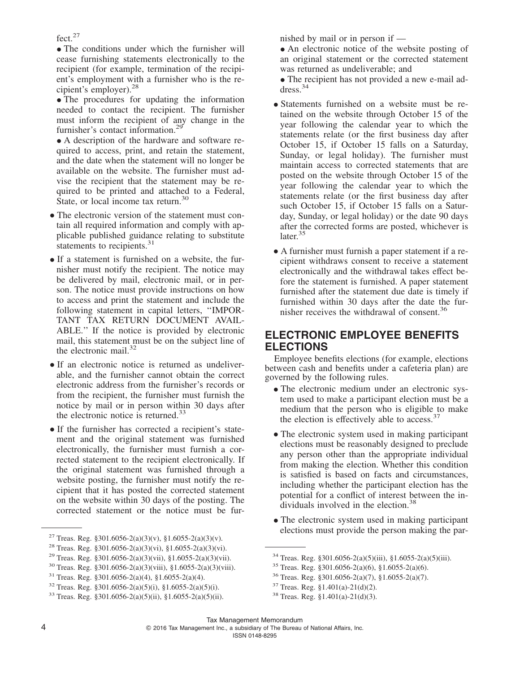fect.<sup>27</sup>

• The conditions under which the furnisher will cease furnishing statements electronically to the recipient (for example, termination of the recipient's employment with a furnisher who is the recipient's employer).<sup>28</sup>

• The procedures for updating the information needed to contact the recipient. The furnisher must inform the recipient of any change in the furnisher's contact information.<sup>29</sup>

• A description of the hardware and software required to access, print, and retain the statement, and the date when the statement will no longer be available on the website. The furnisher must advise the recipient that the statement may be required to be printed and attached to a Federal, State, or local income tax return.<sup>30</sup>

- The electronic version of the statement must contain all required information and comply with applicable published guidance relating to substitute statements to recipients.<sup>31</sup>
- If a statement is furnished on a website, the furnisher must notify the recipient. The notice may be delivered by mail, electronic mail, or in person. The notice must provide instructions on how to access and print the statement and include the following statement in capital letters, ''IMPOR-TANT TAX RETURN DOCUMENT AVAIL-ABLE.'' If the notice is provided by electronic mail, this statement must be on the subject line of the electronic mail. $32$
- •If an electronic notice is returned as undeliverable, and the furnisher cannot obtain the correct electronic address from the furnisher's records or from the recipient, the furnisher must furnish the notice by mail or in person within 30 days after the electronic notice is returned.<sup>33</sup>
- •If the furnisher has corrected a recipient's statement and the original statement was furnished electronically, the furnisher must furnish a corrected statement to the recipient electronically. If the original statement was furnished through a website posting, the furnisher must notify the recipient that it has posted the corrected statement on the website within 30 days of the posting. The corrected statement or the notice must be fur-

nished by mail or in person if —

• An electronic notice of the website posting of an original statement or the corrected statement was returned as undeliverable; and

• The recipient has not provided a new e-mail address.<sup>34</sup>

- Statements furnished on a website must be retained on the website through October 15 of the year following the calendar year to which the statements relate (or the first business day after October 15, if October 15 falls on a Saturday, Sunday, or legal holiday). The furnisher must maintain access to corrected statements that are posted on the website through October 15 of the year following the calendar year to which the statements relate (or the first business day after such October 15, if October 15 falls on a Saturday, Sunday, or legal holiday) or the date 90 days after the corrected forms are posted, whichever is later.<sup>35</sup>
- A furnisher must furnish a paper statement if a recipient withdraws consent to receive a statement electronically and the withdrawal takes effect before the statement is furnished. A paper statement furnished after the statement due date is timely if furnished within 30 days after the date the furnisher receives the withdrawal of consent.<sup>36</sup>

### **ELECTRONIC EMPLOYEE BENEFITS ELECTIONS**

Employee benefits elections (for example, elections between cash and benefits under a cafeteria plan) are governed by the following rules.

- The electronic medium under an electronic system used to make a participant election must be a medium that the person who is eligible to make the election is effectively able to access.<sup>37</sup>
- The electronic system used in making participant elections must be reasonably designed to preclude any person other than the appropriate individual from making the election. Whether this condition is satisfied is based on facts and circumstances, including whether the participant election has the potential for a conflict of interest between the individuals involved in the election.<sup>38</sup>
- The electronic system used in making participant elections must provide the person making the par-<br><sup>27</sup> Treas. Reg. §301.6056-2(a)(3)(v), §1.6055-2(a)(3)(v).

<sup>&</sup>lt;sup>28</sup> Treas. Reg. §301.6056-2(a)(3)(vi), §1.6055-2(a)(3)(vi).

<sup>&</sup>lt;sup>29</sup> Treas. Reg. §301.6056-2(a)(3)(vii), §1.6055-2(a)(3)(vii).

<sup>30</sup> Treas. Reg. §301.6056-2(a)(3)(viii), §1.6055-2(a)(3)(viii).

 $31$  Treas. Reg. §301.6056-2(a)(4), §1.6055-2(a)(4).

<sup>&</sup>lt;sup>32</sup> Treas. Reg. §301.6056-2(a)(5)(i), §1.6055-2(a)(5)(i).

<sup>33</sup> Treas. Reg. §301.6056-2(a)(5)(ii), §1.6055-2(a)(5)(ii).

<sup>34</sup> Treas. Reg. §301.6056-2(a)(5)(iii), §1.6055-2(a)(5)(iii).

<sup>35</sup> Treas. Reg. §301.6056-2(a)(6), §1.6055-2(a)(6).

<sup>36</sup> Treas. Reg. §301.6056-2(a)(7), §1.6055-2(a)(7).

 $37$  Treas. Reg. §1.401(a)-21(d)(2).

<sup>38</sup> Treas. Reg. §1.401(a)-21(d)(3).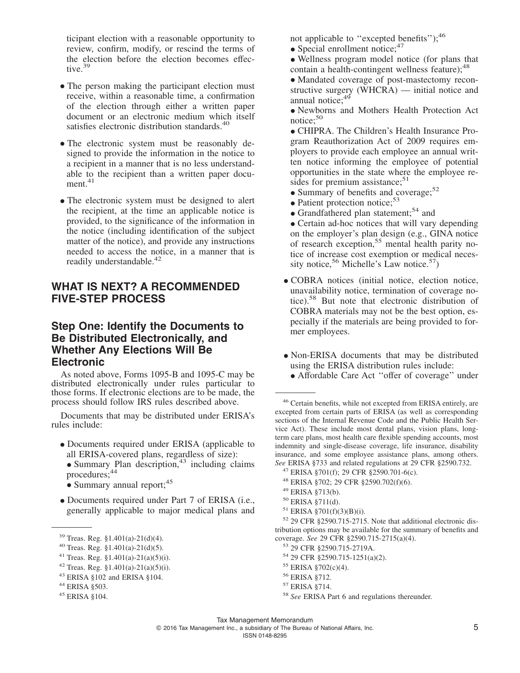ticipant election with a reasonable opportunity to review, confirm, modify, or rescind the terms of the election before the election becomes effective.<sup>39</sup>

- The person making the participant election must receive, within a reasonable time, a confirmation of the election through either a written paper document or an electronic medium which itself satisfies electronic distribution standards.<sup>40</sup>
- The electronic system must be reasonably designed to provide the information in the notice to a recipient in a manner that is no less understandable to the recipient than a written paper document. $41$
- The electronic system must be designed to alert the recipient, at the time an applicable notice is provided, to the significance of the information in the notice (including identification of the subject matter of the notice), and provide any instructions needed to access the notice, in a manner that is readily understandable.<sup>42</sup>

### **WHAT IS NEXT? A RECOMMENDED FIVE-STEP PROCESS**

## **Step One: Identify the Documents to Be Distributed Electronically, and Whether Any Elections Will Be Electronic**

As noted above, Forms 1095-B and 1095-C may be distributed electronically under rules particular to those forms. If electronic elections are to be made, the process should follow IRS rules described above.

Documents that may be distributed under ERISA's rules include:

- Documents required under ERISA (applicable to all ERISA-covered plans, regardless of size):
	- Summary Plan description, $43$  including claims procedures;44
	- $\bullet$  Summary annual report:  $45$
- Documents required under Part 7 of ERISA (i.e., generally applicable to major medical plans and
- <sup>39</sup> Treas. Reg. §1.401(a)-21(d)(4).

<sup>43</sup> ERISA §102 and ERISA §104.

not applicable to "excepted benefits"); 46

- Special enrollment notice; $47$
- Wellness program model notice (for plans that contain a health-contingent wellness feature); $48$
- Mandated coverage of post-mastectomy reconstructive surgery (WHCRA) — initial notice and annual notice;<sup>49</sup>
- Newborns and Mothers Health Protection Act notice; $50$
- CHIPRA. The Children's Health Insurance Program Reauthorization Act of 2009 requires employers to provide each employee an annual written notice informing the employee of potential opportunities in the state where the employee resides for premium assistance;<sup>51</sup>
- Summary of benefits and coverage;<sup>52</sup>
- Patient protection notice;  $53$
- Grandfathered plan statement;<sup>54</sup> and
- Certain ad-hoc notices that will vary depending on the employer's plan design (e.g., GINA notice of research exception,<sup>55</sup> mental health parity notice of increase cost exemption or medical necessity notice,  $56$  Michelle's Law notice.  $57$ )
- COBRA notices (initial notice, election notice, unavailability notice, termination of coverage notice).58 But note that electronic distribution of COBRA materials may not be the best option, especially if the materials are being provided to former employees.
- Non-ERISA documents that may be distributed using the ERISA distribution rules include:
- Affordable Care Act ''offer of coverage'' under

<sup>46</sup> Certain benefits, while not excepted from ERISA entirely, are excepted from certain parts of ERISA (as well as corresponding sections of the Internal Revenue Code and the Public Health Service Act). These include most dental plans, vision plans, longterm care plans, most health care flexible spending accounts, most indemnity and single-disease coverage, life insurance, disability insurance, and some employee assistance plans, among others. *See* ERISA §733 and related regulations at 29 CFR §2590.732.

<sup>52</sup> 29 CFR §2590.715-2715. Note that additional electronic distribution options may be available for the summary of benefits and coverage. *See* 29 CFR §2590.715-2715(a)(4).

<sup>53</sup> 29 CFR §2590.715-2719A.

<sup>54</sup> 29 CFR §2590.715-1251(a)(2).

- <sup>56</sup> ERISA §712.
- <sup>57</sup> ERISA §714.
- <sup>58</sup> *See* ERISA Part 6 and regulations thereunder.

<sup>40</sup> Treas. Reg. §1.401(a)-21(d)(5).

<sup>&</sup>lt;sup>41</sup> Treas. Reg.  $$1.401(a)-21(a)(5)(i)$ .

<sup>&</sup>lt;sup>42</sup> Treas. Reg. §1.401(a)-21(a)(5)(i).

<sup>44</sup> ERISA §503.

<sup>45</sup> ERISA §104.

<sup>47</sup> ERISA §701(f); 29 CFR §2590.701-6(c).

<sup>48</sup> ERISA §702; 29 CFR §2590.702(f)(6).

<sup>49</sup> ERISA §713(b).

<sup>50</sup> ERISA §711(d).

<sup>51</sup> ERISA §701(f)(3)(B)(i).

<sup>55</sup> ERISA §702(c)(4).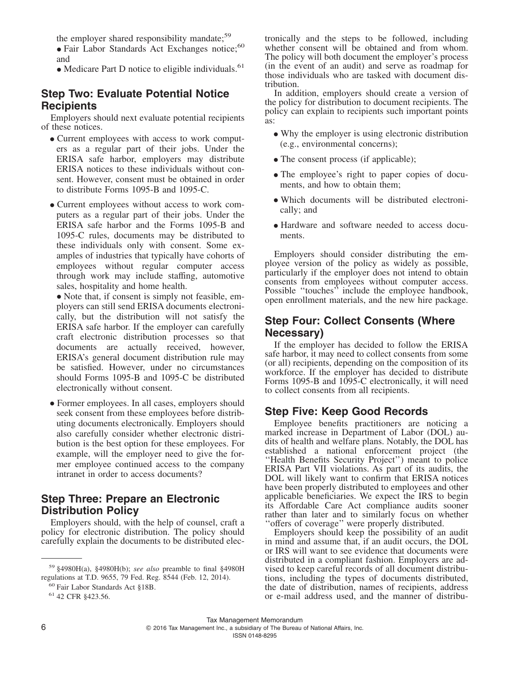the employer shared responsibility mandate;<sup>59</sup>

• Fair Labor Standards Act Exchanges notice;<sup>60</sup> and

• Medicare Part D notice to eligible individuals.<sup>61</sup>

### **Step Two: Evaluate Potential Notice Recipients**

Employers should next evaluate potential recipients of these notices.

- Current employees with access to work computers as a regular part of their jobs. Under the ERISA safe harbor, employers may distribute ERISA notices to these individuals without consent. However, consent must be obtained in order to distribute Forms 1095-B and 1095-C.
- Current employees without access to work computers as a regular part of their jobs. Under the ERISA safe harbor and the Forms 1095-B and 1095-C rules, documents may be distributed to these individuals only with consent. Some examples of industries that typically have cohorts of employees without regular computer access through work may include staffing, automotive sales, hospitality and home health.

• Note that, if consent is simply not feasible, employers can still send ERISA documents electronically, but the distribution will not satisfy the ERISA safe harbor. If the employer can carefully craft electronic distribution processes so that documents are actually received, however, ERISA's general document distribution rule may be satisfied. However, under no circumstances should Forms 1095-B and 1095-C be distributed electronically without consent.

• Former employees. In all cases, employers should seek consent from these employees before distributing documents electronically. Employers should also carefully consider whether electronic distribution is the best option for these employees. For example, will the employer need to give the former employee continued access to the company intranet in order to access documents?

#### **Step Three: Prepare an Electronic Distribution Policy**

Employers should, with the help of counsel, craft a policy for electronic distribution. The policy should carefully explain the documents to be distributed electronically and the steps to be followed, including whether consent will be obtained and from whom. The policy will both document the employer's process (in the event of an audit) and serve as roadmap for those individuals who are tasked with document distribution.

In addition, employers should create a version of the policy for distribution to document recipients. The policy can explain to recipients such important points as:

- Why the employer is using electronic distribution (e.g., environmental concerns);
- The consent process (if applicable);
- The employee's right to paper copies of documents, and how to obtain them;
- Which documents will be distributed electronically; and
- Hardware and software needed to access documents.

Employers should consider distributing the employee version of the policy as widely as possible, particularly if the employer does not intend to obtain consents from employees without computer access. Possible "touches" include the employee handbook, open enrollment materials, and the new hire package.

#### **Step Four: Collect Consents (Where Necessary)**

If the employer has decided to follow the ERISA safe harbor, it may need to collect consents from some (or all) recipients, depending on the composition of its workforce. If the employer has decided to distribute Forms 1095-B and 1095-C electronically, it will need to collect consents from all recipients.

### **Step Five: Keep Good Records**

Employee benefits practitioners are noticing a marked increase in Department of Labor (DOL) audits of health and welfare plans. Notably, the DOL has established a national enforcement project (the ''Health Benefits Security Project'') meant to police ERISA Part VII violations. As part of its audits, the DOL will likely want to confirm that ERISA notices have been properly distributed to employees and other applicable beneficiaries. We expect the IRS to begin its Affordable Care Act compliance audits sooner rather than later and to similarly focus on whether ''offers of coverage'' were properly distributed.

Employers should keep the possibility of an audit in mind and assume that, if an audit occurs, the DOL or IRS will want to see evidence that documents were distributed in a compliant fashion. Employers are advised to keep careful records of all document distributions, including the types of documents distributed, the date of distribution, names of recipients, address or e-mail address used, and the manner of distribu-

<sup>59</sup> §4980H(a), §4980H(b); *see also* preamble to final §4980H regulations at T.D. 9655, 79 Fed. Reg. 8544 (Feb. 12, 2014).

<sup>60</sup> Fair Labor Standards Act §18B.

<sup>61</sup> 42 CFR §423.56.